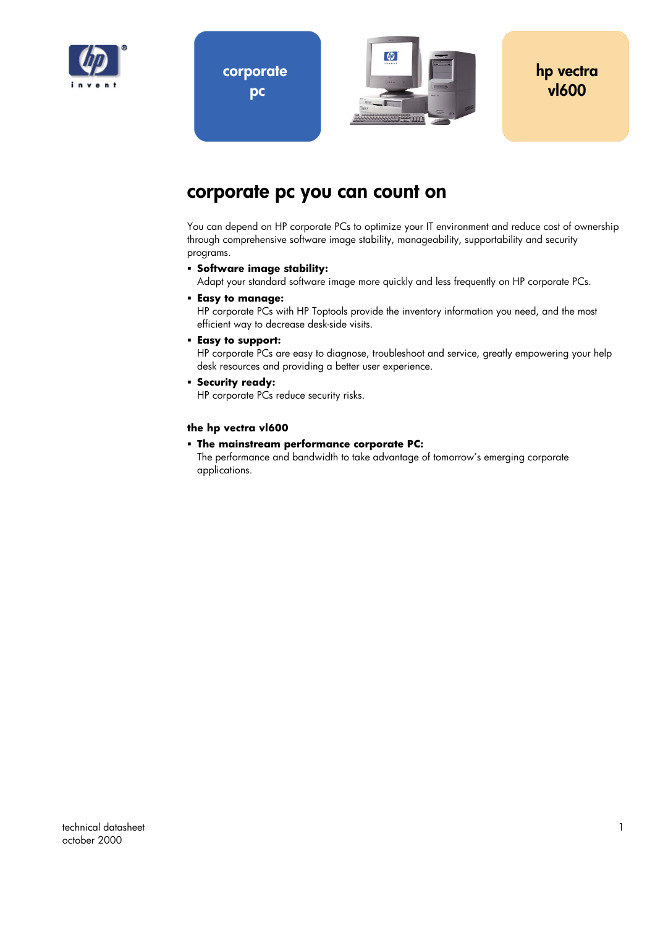

**corporate pc** 



### **corporate pc you can count on**

You can depend on HP corporate PCs to optimize your IT environment and reduce cost of ownership through comprehensive software image stability, manageability, supportability and security programs.

**Software image stability:** 

Adapt your standard software image more quickly and less frequently on HP corporate PCs.

**Easy to manage:** 

HP corporate PCs with HP Toptools provide the inventory information you need, and the most efficient way to decrease desk-side visits.

**Easy to support:** 

HP corporate PCs are easy to diagnose, troubleshoot and service, greatly empowering your help desk resources and providing a better user experience.

**Security ready:** 

HP corporate PCs reduce security risks.

#### **the hp vectra vl600**

**The mainstream performance corporate PC:** 

The performance and bandwidth to take advantage of tomorrow's emerging corporate applications.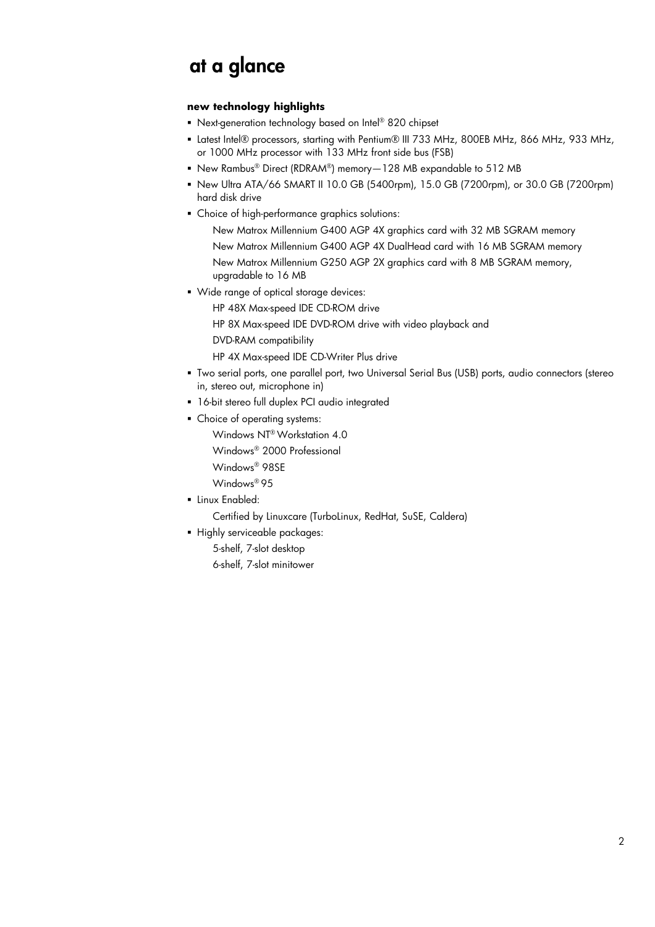### **at a glance**

#### **new technology highlights**

- Next-generation technology based on Intel® 820 chipset
- Latest Intel® processors, starting with Pentium® III 733 MHz, 800EB MHz, 866 MHz, 933 MHz, or 1000 MHz processor with 133 MHz front side bus (FSB)
- New Rambus® Direct (RDRAM®) memory-128 MB expandable to 512 MB
- New Ultra ATA/66 SMART II 10.0 GB (5400rpm), 15.0 GB (7200rpm), or 30.0 GB (7200rpm) hard disk drive
- Choice of high-performance graphics solutions:
	- New Matrox Millennium G400 AGP 4X graphics card with 32 MB SGRAM memory
	- New Matrox Millennium G400 AGP 4X DualHead card with 16 MB SGRAM memory
	- New Matrox Millennium G250 AGP 2X graphics card with 8 MB SGRAM memory, upgradable to 16 MB
- Wide range of optical storage devices:
	- HP 48X Max-speed IDE CD-ROM drive
	- HP 8X Max-speed IDE DVD-ROM drive with video playback and
	- DVD-RAM compatibility
	- $-$  HP 4X Max-speed IDE CD-Writer Plus drive
- Two serial ports, one parallel port, two Universal Serial Bus (USB) ports, audio connectors (stereo in, stereo out, microphone in)
- 16-bit stereo full duplex PCI audio integrated
- Choice of operating systems:
	- Windows NT® Workstation 4.0
	- Windows® 2000 Professional
	- Windows® 98SE
	- Windows® 95
- **Exampled:** 
	- Certified by Linuxcare (TurboLinux, RedHat, SuSE, Caldera)
- Highly serviceable packages:
	- 5-shelf, 7-slot desktop
	- 6-shelf, 7-slot minitower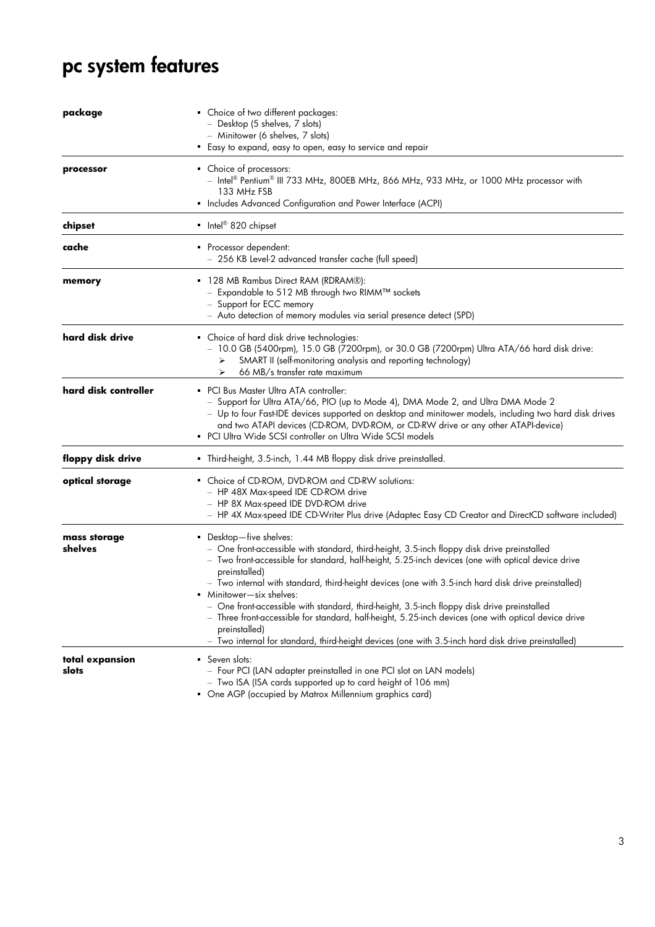# **pc system features**

| package                  | • Choice of two different packages:<br>Desktop (5 shelves, 7 slots)<br>- Minitower (6 shelves, 7 slots)<br>• Easy to expand, easy to open, easy to service and repair                                                                                                                                                                                                                                                                                                                                                                                                                                                                                                                                      |
|--------------------------|------------------------------------------------------------------------------------------------------------------------------------------------------------------------------------------------------------------------------------------------------------------------------------------------------------------------------------------------------------------------------------------------------------------------------------------------------------------------------------------------------------------------------------------------------------------------------------------------------------------------------------------------------------------------------------------------------------|
| processor                | • Choice of processors:<br>- Intel® Pentium® III 733 MHz, 800EB MHz, 866 MHz, 933 MHz, or 1000 MHz processor with<br>133 MHz FSB<br>• Includes Advanced Configuration and Power Interface (ACPI)                                                                                                                                                                                                                                                                                                                                                                                                                                                                                                           |
| chipset                  | Intel <sup>®</sup> 820 chipset                                                                                                                                                                                                                                                                                                                                                                                                                                                                                                                                                                                                                                                                             |
| cache                    | Processor dependent:<br>- 256 KB Level-2 advanced transfer cache (full speed)                                                                                                                                                                                                                                                                                                                                                                                                                                                                                                                                                                                                                              |
| memory                   | 128 MB Rambus Direct RAM (RDRAM®):<br>- Expandable to 512 MB through two RIMM™ sockets<br>- Support for ECC memory<br>- Auto detection of memory modules via serial presence detect (SPD)                                                                                                                                                                                                                                                                                                                                                                                                                                                                                                                  |
| hard disk drive          | • Choice of hard disk drive technologies:<br>- 10.0 GB (5400rpm), 15.0 GB (7200rpm), or 30.0 GB (7200rpm) Ultra ATA/66 hard disk drive:<br>SMART II (self-monitoring analysis and reporting technology)<br>➤<br>66 MB/s transfer rate maximum<br>⋗                                                                                                                                                                                                                                                                                                                                                                                                                                                         |
| hard disk controller     | • PCI Bus Master Ultra ATA controller:<br>- Support for Ultra ATA/66, PIO (up to Mode 4), DMA Mode 2, and Ultra DMA Mode 2<br>- Up to four Fast-IDE devices supported on desktop and minitower models, including two hard disk drives<br>and two ATAPI devices (CD-ROM, DVD-ROM, or CD-RW drive or any other ATAPI-device)<br>• PCI Ultra Wide SCSI controller on Ultra Wide SCSI models                                                                                                                                                                                                                                                                                                                   |
| floppy disk drive        | • Third-height, 3.5-inch, 1.44 MB floppy disk drive preinstalled.                                                                                                                                                                                                                                                                                                                                                                                                                                                                                                                                                                                                                                          |
| optical storage          | • Choice of CD-ROM, DVD-ROM and CD-RW solutions:<br>- HP 48X Max-speed IDE CD-ROM drive<br>- HP 8X Max-speed IDE DVD-ROM drive<br>- HP 4X Max-speed IDE CD-Writer Plus drive (Adaptec Easy CD Creator and DirectCD software included)                                                                                                                                                                                                                                                                                                                                                                                                                                                                      |
| mass storage<br>shelves  | Desktop-five shelves:<br>- One front-accessible with standard, third-height, 3.5-inch floppy disk drive preinstalled<br>- Two front-accessible for standard, half-height, 5.25-inch devices (one with optical device drive<br>preinstalled)<br>- Two internal with standard, third-height devices (one with 3.5-inch hard disk drive preinstalled)<br>• Minitower-six shelves:<br>- One front-accessible with standard, third-height, 3.5-inch floppy disk drive preinstalled<br>- Three front-accessible for standard, half-height, 5.25-inch devices (one with optical device drive<br>preinstalled)<br>Two internal for standard, third-height devices (one with 3.5-inch hard disk drive preinstalled) |
| total expansion<br>slots | • Seven slots:<br>- Four PCI (LAN adapter preinstalled in one PCI slot on LAN models)<br>- Two ISA (ISA cards supported up to card height of 106 mm)<br>• One AGP (occupied by Matrox Millennium graphics card)                                                                                                                                                                                                                                                                                                                                                                                                                                                                                            |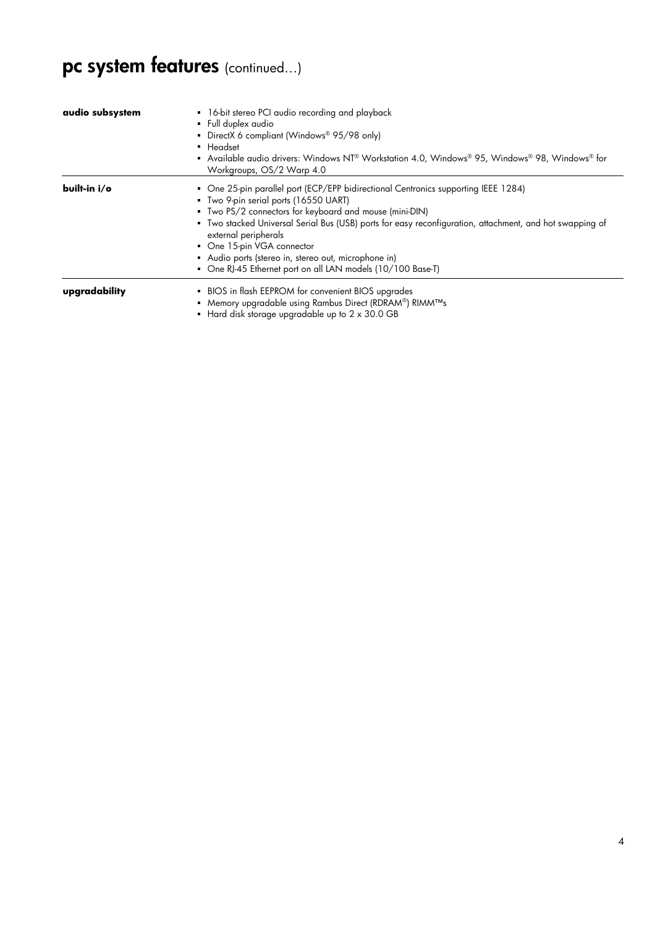# **pc system features** (continued…)

| audio subsystem | 16-bit stereo PCI audio recording and playback<br>• Full duplex audio<br>• DirectX 6 compliant (Windows® 95/98 only)<br>• Headset<br>Available audio drivers: Windows NT® Workstation 4.0, Windows® 95, Windows® 98, Windows® for<br>Workgroups, OS/2 Warp 4.0                                                                                                                                                                                                            |
|-----------------|---------------------------------------------------------------------------------------------------------------------------------------------------------------------------------------------------------------------------------------------------------------------------------------------------------------------------------------------------------------------------------------------------------------------------------------------------------------------------|
| built-in i/o    | • One 25-pin parallel port (ECP/EPP bidirectional Centronics supporting IEEE 1284)<br>Two 9-pin serial ports (16550 UART)<br>Two PS/2 connectors for keyboard and mouse (mini-DIN)<br>" Two stacked Universal Serial Bus (USB) ports for easy reconfiguration, attachment, and hot swapping of<br>external peripherals<br>• One 15-pin VGA connector<br>Audio ports (stereo in, stereo out, microphone in)<br>• One RJ-45 Ethernet port on all LAN models (10/100 Base-T) |
| upgradability   | BIOS in flash EEPROM for convenient BIOS upgrades<br>■ Memory upgradable using Rambus Direct (RDRAM®) RIMM™s<br>$\blacksquare$ Hard disk storage upgradable up to 2 x 30.0 GB                                                                                                                                                                                                                                                                                             |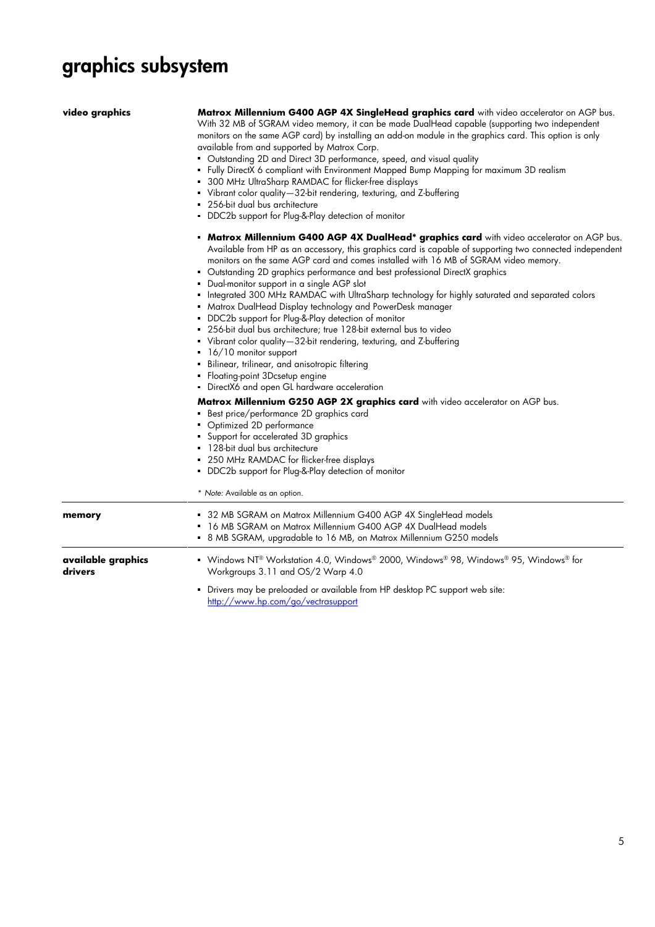# **graphics subsystem**

| video graphics                | Matrox Millennium G400 AGP 4X SingleHead graphics card with video accelerator on AGP bus.<br>With 32 MB of SGRAM video memory, it can be made DualHead capable (supporting two independent<br>monitors on the same AGP card) by installing an add-on module in the graphics card. This option is only<br>available from and supported by Matrox Corp.<br>• Outstanding 2D and Direct 3D performance, speed, and visual quality<br>- Fully DirectX 6 compliant with Environment Mapped Bump Mapping for maximum 3D realism<br>• 300 MHz UltraSharp RAMDAC for flicker-free displays<br>• Vibrant color quality-32-bit rendering, texturing, and Z-buffering<br>256-bit dual bus architecture<br>DDC2b support for Plug-&-Play detection of monitor                                                                                                                                                                                                                     |  |  |  |
|-------------------------------|-----------------------------------------------------------------------------------------------------------------------------------------------------------------------------------------------------------------------------------------------------------------------------------------------------------------------------------------------------------------------------------------------------------------------------------------------------------------------------------------------------------------------------------------------------------------------------------------------------------------------------------------------------------------------------------------------------------------------------------------------------------------------------------------------------------------------------------------------------------------------------------------------------------------------------------------------------------------------|--|--|--|
|                               | <b>• Matrox Millennium G400 AGP 4X DualHead* graphics card</b> with video accelerator on AGP bus.<br>Available from HP as an accessory, this graphics card is capable of supporting two connected independent<br>monitors on the same AGP card and comes installed with 16 MB of SGRAM video memory.<br>• Outstanding 2D graphics performance and best professional DirectX graphics<br>• Dual-monitor support in a single AGP slot<br>Integrated 300 MHz RAMDAC with UltraSharp technology for highly saturated and separated colors<br>• Matrox DualHead Display technology and PowerDesk manager<br>DDC2b support for Plug-&-Play detection of monitor<br>• 256-bit dual bus architecture; true 128-bit external bus to video<br>Vibrant color quality-32-bit rendering, texturing, and Z-buffering<br>16/10 monitor support<br>Bilinear, trilinear, and anisotropic filtering<br>• Floating-point 3Dcsetup engine<br>• DirectX6 and open GL hardware acceleration |  |  |  |
|                               | Matrox Millennium G250 AGP 2X graphics card with video accelerator on AGP bus.<br>Best price/performance 2D graphics card<br>• Optimized 2D performance<br>• Support for accelerated 3D graphics<br>128-bit dual bus architecture<br>250 MHz RAMDAC for flicker-free displays<br>• DDC2b support for Plug-&-Play detection of monitor<br>* Note: Available as an option.                                                                                                                                                                                                                                                                                                                                                                                                                                                                                                                                                                                              |  |  |  |
| memory                        | • 32 MB SGRAM on Matrox Millennium G400 AGP 4X SingleHead models<br>• 16 MB SGRAM on Matrox Millennium G400 AGP 4X DualHead models<br>• 8 MB SGRAM, upgradable to 16 MB, on Matrox Millennium G250 models                                                                                                                                                                                                                                                                                                                                                                                                                                                                                                                                                                                                                                                                                                                                                             |  |  |  |
| available graphics<br>drivers | • Windows NT® Workstation 4.0, Windows® 2000, Windows® 98, Windows® 95, Windows® for<br>Workgroups 3.11 and OS/2 Warp 4.0<br>• Drivers may be preloaded or available from HP desktop PC support web site:                                                                                                                                                                                                                                                                                                                                                                                                                                                                                                                                                                                                                                                                                                                                                             |  |  |  |

 Drivers may be preloaded or available from HP desktop PC support web site: <http://www.hp.com/go/vectrasupport>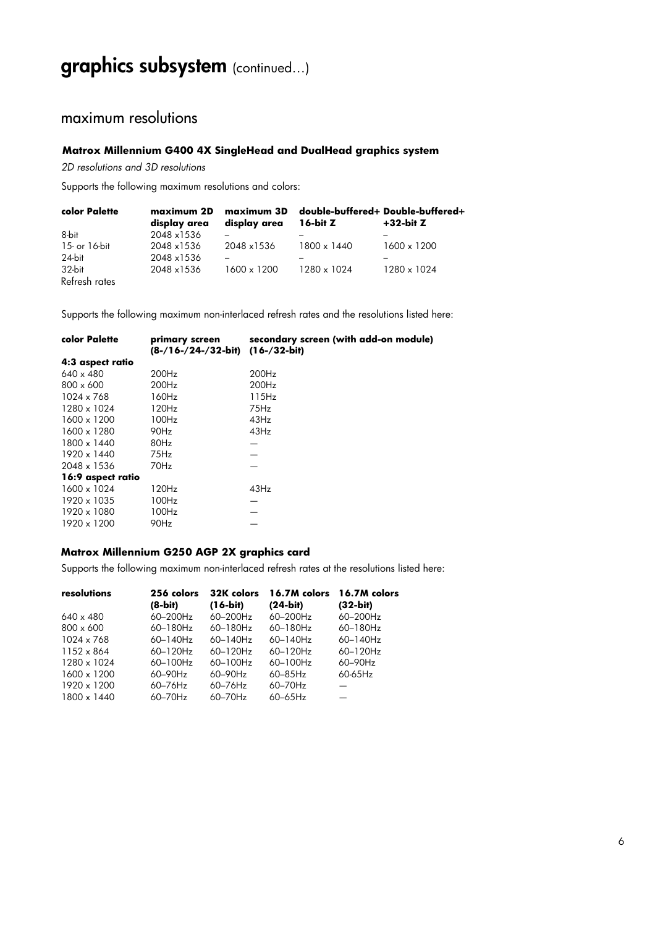## **graphics subsystem** (continued…)

### maximum resolutions

#### **Matrox Millennium G400 4X SingleHead and DualHead graphics system**

*2D resolutions and 3D resolutions* 

Supports the following maximum resolutions and colors:

| color Palette | maximum 2D<br>display area | maximum 3D<br>display area | $16$ -bit Z | -double-buffered+ Double-buffered<br>$+32$ -bit Z |
|---------------|----------------------------|----------------------------|-------------|---------------------------------------------------|
| 8-bit         | 2048 x1536                 |                            |             |                                                   |
| 15- or 16-bit | 2048 x1536                 | 2048 x1536                 | 1800 x 1440 | 1600 x 1200                                       |
| 24-bit        | 2048 x1536                 |                            |             |                                                   |
| 32-bit        | 2048 x1536                 | 1600 x 1200                | 1280 x 1024 | 1280 x 1024                                       |
| Refresh rates |                            |                            |             |                                                   |

Supports the following maximum non-interlaced refresh rates and the resolutions listed here:

| color Palette     | primary screen<br>(8-/16-/24-/32-bit) | secondary screen (with add-on module)<br>$(16 - 32 - bit)$ |
|-------------------|---------------------------------------|------------------------------------------------------------|
| 4:3 aspect ratio  |                                       |                                                            |
| $640 \times 480$  | 200Hz                                 | 200Hz                                                      |
| $800 \times 600$  | 200Hz                                 | 200Hz                                                      |
| 1024 x 768        | 160Hz                                 | 115Hz                                                      |
| 1280 x 1024       | 120Hz                                 | 75Hz                                                       |
| 1600 x 1200       | 100Hz                                 | 43Hz                                                       |
| 1600 x 1280       | 90Hz                                  | 43Hz                                                       |
| 1800 x 1440       | 80Hz                                  |                                                            |
| 1920 x 1440       | 75Hz                                  |                                                            |
| 2048 x 1536       | 70Hz                                  |                                                            |
| 16:9 aspect ratio |                                       |                                                            |
| 1600 x 1024       | 120Hz                                 | 43Hz                                                       |
| 1920 x 1035       | 100Hz                                 |                                                            |
| 1920 x 1080       | 100Hz                                 |                                                            |
| 1920 x 1200       | 90Hz                                  |                                                            |
|                   |                                       |                                                            |

#### **Matrox Millennium G250 AGP 2X graphics card**

Supports the following maximum non-interlaced refresh rates at the resolutions listed here:

| resolutions      | 256 colors    | 32K colors   | 16.7M colors  | 16.7M colors |
|------------------|---------------|--------------|---------------|--------------|
|                  | $(8-bit)$     | $(16-bit)$   | $(24-bit)$    | $(32-bit)$   |
| $640 \times 480$ | 60-200Hz      | 60-200Hz     | 60-200Hz      | 60-200Hz     |
| $800 \times 600$ | 60-180Hz      | 60-180Hz     | $60 - 180$ Hz | 60-180Hz     |
| 1024 x 768       | $60 - 140$ Hz | 60-140Hz     | 60-140Hz      | 60-140Hz     |
| 1152 x 864       | 60-120Hz      | 60-120Hz     | $60-120$ Hz   | 60-120Hz     |
| 1280 x 1024      | $60-100$ Hz   | $60-100$ Hz  | $60-100$ Hz   | 60-90Hz      |
| 1600 x 1200      | 60-90Hz       | 60-90Hz      | $60 - 85$ Hz  | 60-65Hz      |
| 1920 x 1200      | $60 - 76$ Hz  | $60 - 76$ Hz | $60 - 70$ Hz  |              |
| 1800 x 1440      | $60 - 70$ Hz  | $60 - 70$ Hz | $60-65$ Hz    |              |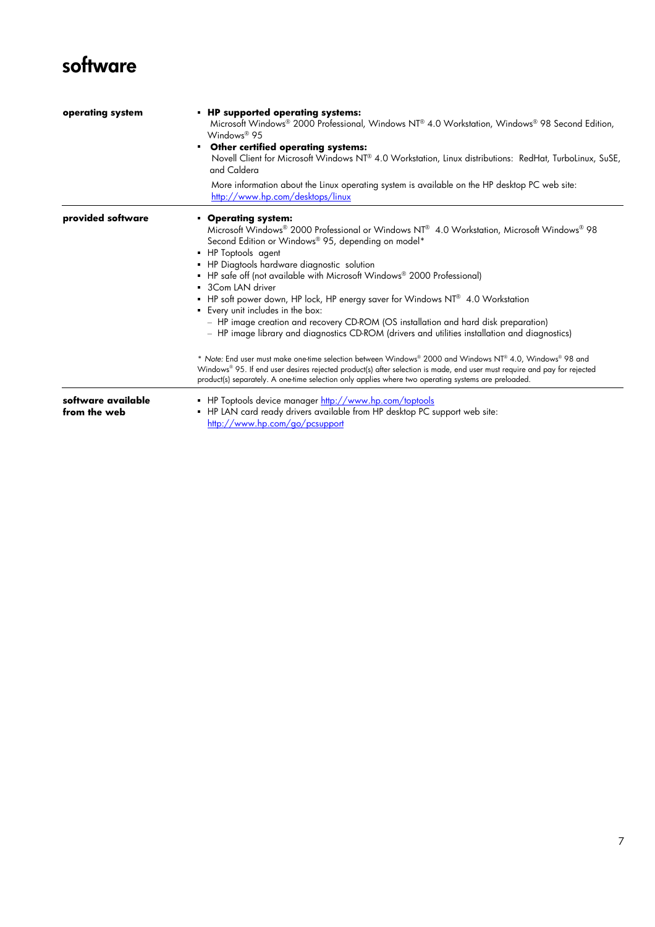## **software**

| operating system                   | • HP supported operating systems:<br>Microsoft Windows® 2000 Professional, Windows NT® 4.0 Workstation, Windows® 98 Second Edition,<br>Windows® 95<br>• Other certified operating systems:<br>Novell Client for Microsoft Windows NT <sup>®</sup> 4.0 Workstation, Linux distributions: RedHat, TurboLinux, SuSE,<br>and Caldera<br>More information about the Linux operating system is available on the HP desktop PC web site:<br>http://www.hp.com/desktops/linux                                                                                                                                                                                                                                                                                                                                                                                                                                                                                                                                                |
|------------------------------------|----------------------------------------------------------------------------------------------------------------------------------------------------------------------------------------------------------------------------------------------------------------------------------------------------------------------------------------------------------------------------------------------------------------------------------------------------------------------------------------------------------------------------------------------------------------------------------------------------------------------------------------------------------------------------------------------------------------------------------------------------------------------------------------------------------------------------------------------------------------------------------------------------------------------------------------------------------------------------------------------------------------------|
| provided software                  | • Operating system:<br>Microsoft Windows® 2000 Professional or Windows NT® 4.0 Workstation, Microsoft Windows® 98<br>Second Edition or Windows® 95, depending on model*<br>• HP Toptools agent<br>• HP Diagtools hardware diagnostic solution<br>• HP safe off (not available with Microsoft Windows <sup>®</sup> 2000 Professional)<br>3Com LAN driver<br>• HP soft power down, HP lock, HP energy saver for Windows NT® 4.0 Workstation<br>Every unit includes in the box:<br>- HP image creation and recovery CD-ROM (OS installation and hard disk preparation)<br>- HP image library and diagnostics CD-ROM (drivers and utilities installation and diagnostics)<br>* Note: End user must make one-time selection between Windows® 2000 and Windows NT® 4.0, Windows® 98 and<br>Windows® 95. If end user desires rejected product(s) after selection is made, end user must require and pay for rejected<br>product(s) separately. A one-time selection only applies where two operating systems are preloaded. |
| software available<br>from the web | • HP Toptools device manager http://www.hp.com/toptools<br>• HP LAN card ready drivers available from HP desktop PC support web site:<br>http://www.hp.com/go/pcsupport                                                                                                                                                                                                                                                                                                                                                                                                                                                                                                                                                                                                                                                                                                                                                                                                                                              |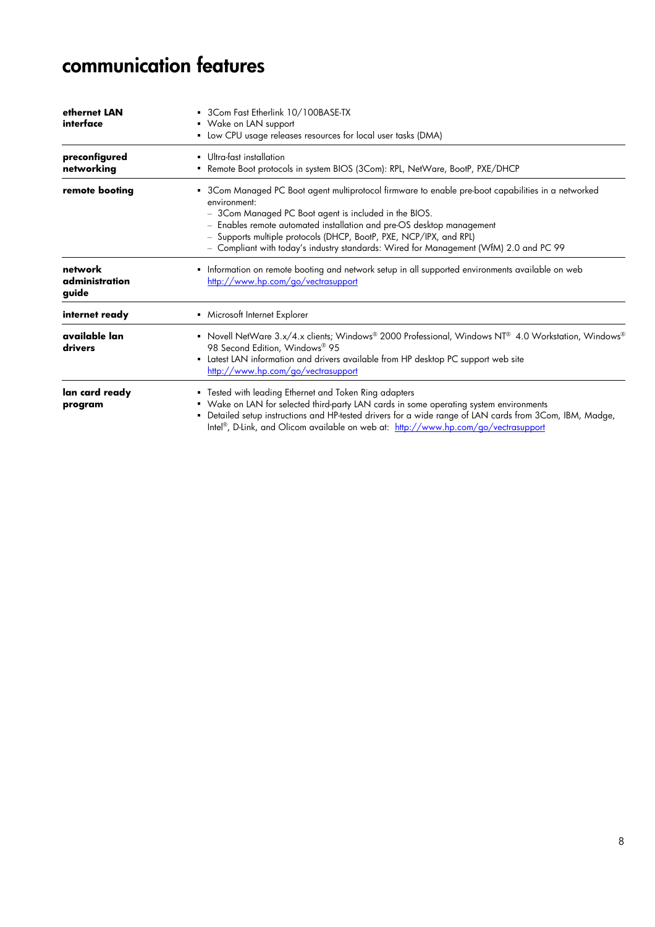## **communication features**

| ethernet LAN<br>interface          | 3Com Fast Etherlink 10/100BASE-TX<br>• Wake on LAN support<br>• Low CPU usage releases resources for local user tasks (DMA)                                                                                                                                                                                                                                                                                         |
|------------------------------------|---------------------------------------------------------------------------------------------------------------------------------------------------------------------------------------------------------------------------------------------------------------------------------------------------------------------------------------------------------------------------------------------------------------------|
| preconfigured<br>networking        | Ultra-fast installation<br>• Remote Boot protocols in system BIOS (3Com): RPL, NetWare, BootP, PXE/DHCP                                                                                                                                                                                                                                                                                                             |
| remote booting                     | • 3Com Managed PC Boot agent multiprotocol firmware to enable pre-boot capabilities in a networked<br>environment:<br>- 3Com Managed PC Boot agent is included in the BIOS.<br>- Enables remote automated installation and pre-OS desktop management<br>- Supports multiple protocols (DHCP, BootP, PXE, NCP/IPX, and RPL)<br>- Compliant with today's industry standards: Wired for Management (WfM) 2.0 and PC 99 |
| network<br>administration<br>guide | Information on remote booting and network setup in all supported environments available on web<br>http://www.hp.com/go/vectrasupport                                                                                                                                                                                                                                                                                |
| internet ready                     | Microsoft Internet Explorer                                                                                                                                                                                                                                                                                                                                                                                         |
| available lan<br>drivers           | Novell NetWare 3.x/4.x clients; Windows® 2000 Professional, Windows NT® 4.0 Workstation, Windows®<br>98 Second Edition, Windows® 95<br>Latest LAN information and drivers available from HP desktop PC support web site<br>٠<br>http://www.hp.com/go/vectrasupport                                                                                                                                                  |
| lan card ready<br>program          | • Tested with leading Ethernet and Token Ring adapters<br>• Wake on LAN for selected third-party LAN cards in some operating system environments<br>Detailed setup instructions and HP-tested drivers for a wide range of LAN cards from 3Com, IBM, Madge,<br>٠<br>Intel®, D-Link, and Olicom available on web at: http://www.hp.com/go/vectrasupport                                                               |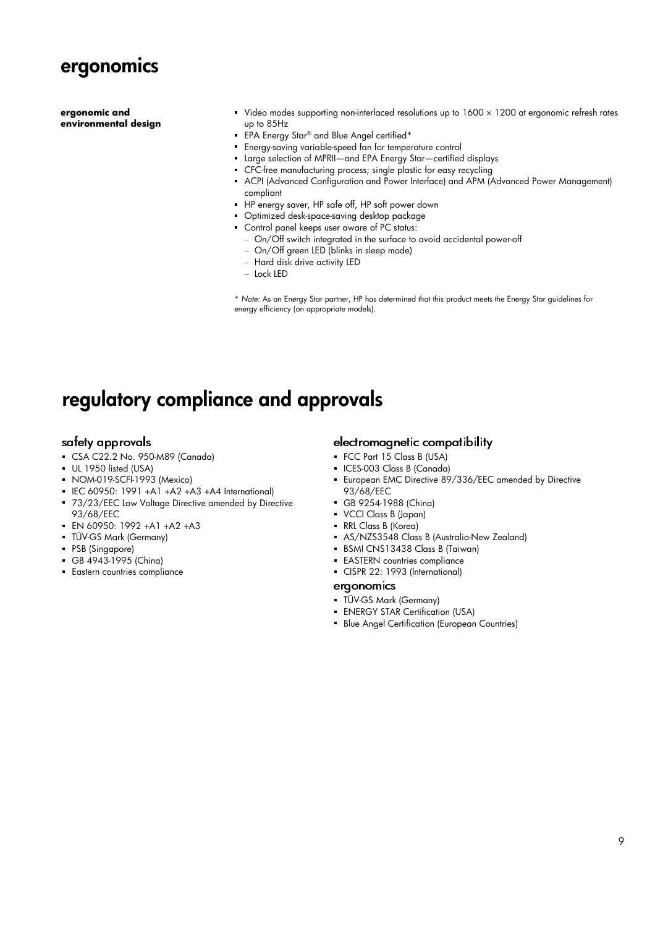

**ergonomic and environmental design** 

- Video modes supporting non-interlaced resolutions up to 1600 x 1200 at ergonomic refresh rates up to 85Hz
- **EPA Energy Star® and Blue Angel certified\***
- Energy-saving variable-speed fan for temperature control
- Large selection of MPRII—and EPA Energy Star—certified displays
- CFC-free manufacturing process; single plastic for easy recycling
- ACPI (Advanced Configuration and Power Interface) and APM (Advanced Power Management) compliant
- HP energy saver, HP safe off, HP soft power down
- Optimized desk-space-saving desktop package
- Control panel keeps user aware of PC status:
	- On/Off switch integrated in the surface to avoid accidental power-off
	- On/Off green LED (blinks in sleep mode)
	- Hard disk drive activity LED
	- Lock LED

\* *Note:* As an Energy Star partner, HP has determined that this product meets the Energy Star guidelines for energy efficiency (on appropriate models).

### **regulatory compliance and approvals**

#### safety approvals

- CSA C22.2 No. 950-M89 (Canada)
- UL 1950 listed (USA)
- NOM-019-SCFI-1993 (Mexico)
- $\blacksquare$  IEC 60950: 1991 +A1 +A2 +A3 +A4 International)
- **73/23/EEC Low Voltage Directive amended by Directive** 93/68/EEC
- EN 60950: 1992 +A1 +A2 +A3
- TÜV-GS Mark (Germany)
- PSB (Singapore)
- GB 4943-1995 (China)
- **Eastern countries compliance**

#### electromagnetic compatibility

- FCC Part 15 Class B (USA)
- ICES-003 Class B (Canada)
- **European EMC Directive 89/336/EEC amended by Directive** 93/68/EEC
- GB 9254-1988 (China)
- VCCI Class B (Japan)
- RRL Class B (Korea)
- AS/NZS3548 Class B (Australia-New Zealand)
- BSMI CNS13438 Class B (Taiwan)
- **EASTERN** countries compliance
- CISPR 22: 1993 (International)

#### ergonomics

- TÜV-GS Mark (Germany)
- **ENERGY STAR Certification (USA)**
- **Blue Angel Certification (European Countries)**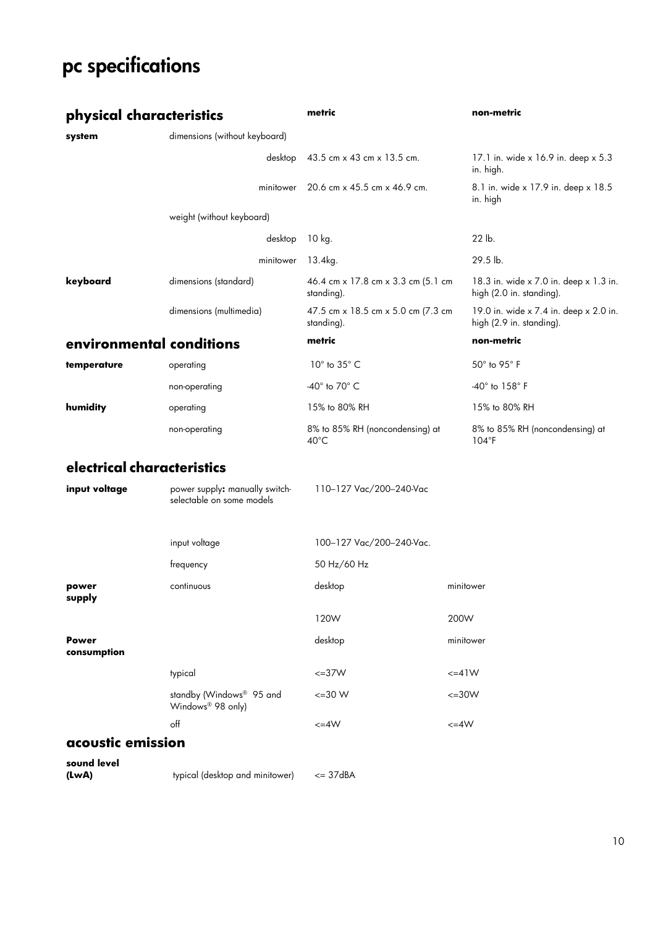# **pc specifications**

| physical characteristics   |                                                             | metric                                            | non-metric                                                         |
|----------------------------|-------------------------------------------------------------|---------------------------------------------------|--------------------------------------------------------------------|
| system                     | dimensions (without keyboard)                               |                                                   |                                                                    |
|                            | desktop                                                     | 43.5 cm x 43 cm x 13.5 cm.                        | 17.1 in. wide x 16.9 in. deep x 5.3<br>in. high.                   |
|                            | minitower                                                   | 20.6 cm x 45.5 cm x 46.9 cm.                      | 8.1 in. wide x 17.9 in. deep x 18.5<br>in. high                    |
|                            | weight (without keyboard)                                   |                                                   |                                                                    |
|                            | desktop                                                     | 10 kg.                                            | 22 lb.                                                             |
|                            | minitower                                                   | 13.4kg.                                           | 29.5 lb.                                                           |
| keyboard                   | dimensions (standard)                                       | 46.4 cm x 17.8 cm x 3.3 cm (5.1 cm<br>standing).  | 18.3 in. wide x 7.0 in. deep x 1.3 in.<br>high (2.0 in. standing). |
|                            | dimensions (multimedia)                                     | 47.5 cm x 18.5 cm x 5.0 cm (7.3 cm<br>standing).  | 19.0 in. wide x 7.4 in. deep x 2.0 in.<br>high (2.9 in. standing). |
| environmental conditions   |                                                             | metric                                            | non-metric                                                         |
| temperature                | operating                                                   | $10^\circ$ to $35^\circ$ C                        | $50^\circ$ to $95^\circ$ F                                         |
|                            | non-operating                                               | -40 $^{\circ}$ to 70 $^{\circ}$ C                 | $-40^\circ$ to $158^\circ$ F                                       |
| humidity                   | operating                                                   | 15% to 80% RH                                     | 15% to 80% RH                                                      |
|                            | non-operating                                               | 8% to 85% RH (noncondensing) at<br>$40^{\circ}$ C | 8% to 85% RH (noncondensing) at<br>$104^{\circ}F$                  |
| electrical characteristics |                                                             |                                                   |                                                                    |
| input voltage              | power supply: manually switch-<br>selectable on some models | 110-127 Vac/200-240-Vac                           |                                                                    |

|                             | input voltage                                             | 100-127 Vac/200-240-Vac. |             |
|-----------------------------|-----------------------------------------------------------|--------------------------|-------------|
|                             | frequency                                                 | 50 Hz/60 Hz              |             |
| power<br>supply             | continuous                                                | desktop                  | minitower   |
|                             |                                                           | 120W                     | 200W        |
| <b>Power</b><br>consumption |                                                           | desktop                  | minitower   |
|                             | typical                                                   | $\leq$ =37W              | $\leq$ =41W |
|                             | standby (Windows® 95 and<br>Windows <sup>®</sup> 98 only) | $\leq$ =30 W             | $\leq$ =30W |
|                             | off                                                       | $\leq$ = 4W              | $\leq$ =4W  |

### **acoustic emission**

**sound level** 

**(LwA)** typical (desktop and minitower) <= 37dBA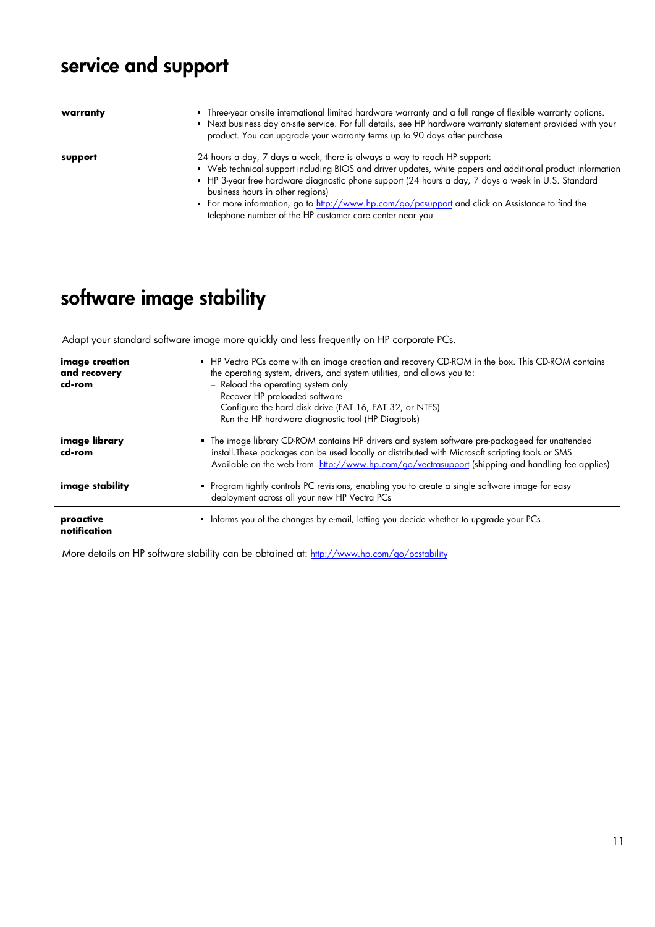# **service and support**

| warranty | • Three-year on-site international limited hardware warranty and a full range of flexible warranty options.<br>• Next business day on-site service. For full details, see HP hardware warranty statement provided with your<br>product. You can upgrade your warranty terms up to 90 days after purchase                          |
|----------|-----------------------------------------------------------------------------------------------------------------------------------------------------------------------------------------------------------------------------------------------------------------------------------------------------------------------------------|
| support  | 24 hours a day, 7 days a week, there is always a way to reach HP support:<br>• Web technical support including BIOS and driver updates, white papers and additional product information<br>• HP 3-year free hardware diagnostic phone support (24 hours a day, 7 days a week in U.S. Standard<br>business hours in other regions) |
|          | • For more information, go to http://www.hp.com/go/pcsupport and click on Assistance to find the<br>telephone number of the HP customer care center near you                                                                                                                                                                      |

# **software image stability**

Adapt your standard software image more quickly and less frequently on HP corporate PCs.

| image creation<br>and recovery<br>cd-rom | • HP Vectra PCs come with an image creation and recovery CD-ROM in the box. This CD-ROM contains<br>the operating system, drivers, and system utilities, and allows you to:<br>- Reload the operating system only<br>- Recover HP preloaded software<br>- Configure the hard disk drive (FAT 16, FAT 32, or NTFS)<br>- Run the HP hardware diagnostic tool (HP Diagtools) |
|------------------------------------------|---------------------------------------------------------------------------------------------------------------------------------------------------------------------------------------------------------------------------------------------------------------------------------------------------------------------------------------------------------------------------|
| image library<br>cd-rom                  | • The image library CD-ROM contains HP drivers and system software pre-packageed for unattended<br>install. These packages can be used locally or distributed with Microsoft scripting tools or SMS<br>Available on the web from http://www.hp.com/go/vectrasupport (shipping and handling fee applies)                                                                   |
| image stability                          | • Program tightly controls PC revisions, enabling you to create a single software image for easy<br>deployment across all your new HP Vectra PCs                                                                                                                                                                                                                          |
| proactive<br>notification                | Informs you of the changes by e-mail, letting you decide whether to upgrade your PCs                                                                                                                                                                                                                                                                                      |

More details on HP software stability can be obtained at[: http://www.hp.com/go/pcstability](http://www.hp.com/go/pcstability)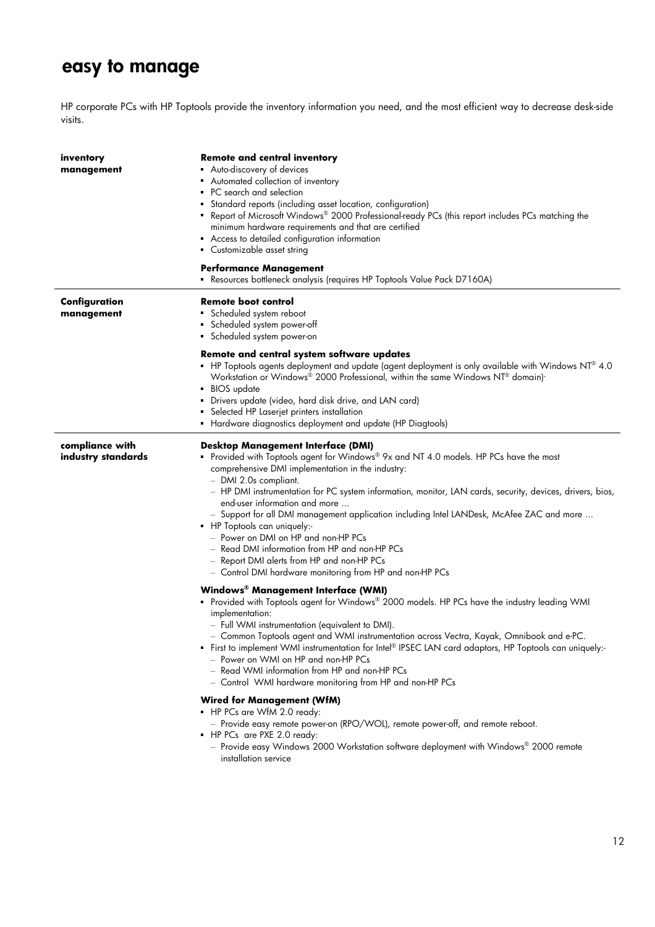## **easy to manage**

HP corporate PCs with HP Toptools provide the inventory information you need, and the most efficient way to decrease desk-side visits.

| inventory<br>management               | <b>Remote and central inventory</b><br>• Auto-discovery of devices<br>• Automated collection of inventory<br>• PC search and selection<br>Standard reports (including asset location, configuration)<br>• Report of Microsoft Windows® 2000 Professional-ready PCs (this report includes PCs matching the<br>minimum hardware requirements and that are certified<br>Access to detailed configuration information<br>Customizable asset string                                                                                                                                                                                                                                                                                                                                                                                                                            |
|---------------------------------------|---------------------------------------------------------------------------------------------------------------------------------------------------------------------------------------------------------------------------------------------------------------------------------------------------------------------------------------------------------------------------------------------------------------------------------------------------------------------------------------------------------------------------------------------------------------------------------------------------------------------------------------------------------------------------------------------------------------------------------------------------------------------------------------------------------------------------------------------------------------------------|
|                                       | <b>Performance Management</b><br>Resources bottleneck analysis (requires HP Toptools Value Pack D7160A)                                                                                                                                                                                                                                                                                                                                                                                                                                                                                                                                                                                                                                                                                                                                                                   |
| Configuration<br>management           | Remote boot control<br>Scheduled system reboot<br>Scheduled system power-off<br>Scheduled system power-on                                                                                                                                                                                                                                                                                                                                                                                                                                                                                                                                                                                                                                                                                                                                                                 |
|                                       | Remote and central system software updates<br>- HP Toptools agents deployment and update (agent deployment is only available with Windows NT® 4.0<br>Workstation or Windows® 2000 Professional, within the same Windows NT® domain).<br>BIOS update<br>Drivers update (video, hard disk drive, and LAN card)<br>٠                                                                                                                                                                                                                                                                                                                                                                                                                                                                                                                                                         |
|                                       | Selected HP Laserjet printers installation<br>Hardware diagnostics deployment and update (HP Diagtools)                                                                                                                                                                                                                                                                                                                                                                                                                                                                                                                                                                                                                                                                                                                                                                   |
| compliance with<br>industry standards | <b>Desktop Management Interface (DMI)</b><br>• Provided with Toptools agent for Windows® 9x and NT 4.0 models. HP PCs have the most<br>comprehensive DMI implementation in the industry:<br>- DMI 2.0s compliant.<br>- HP DMI instrumentation for PC system information, monitor, LAN cards, security, devices, drivers, bios,<br>end-user information and more<br>- Support for all DMI management application including Intel LANDesk, McAfee ZAC and more<br>• HP Toptools can uniquely:-<br>- Power on DMI on HP and non-HP PCs<br>- Read DMI information from HP and non-HP PCs<br>- Report DMI alerts from HP and non-HP PCs<br>- Control DMI hardware monitoring from HP and non-HP PCs                                                                                                                                                                            |
|                                       | Windows® Management Interface (WMI)<br>• Provided with Toptools agent for Windows® 2000 models. HP PCs have the industry leading WMI<br>implementation:<br>- Full WMI instrumentation (equivalent to DMI).<br>- Common Toptools agent and WMI instrumentation across Vectra, Kayak, Omnibook and e-PC.<br>• First to implement WMI instrumentation for Intel® IPSEC LAN card adaptors, HP Toptools can uniquely:-<br>- Power on WMI on HP and non-HP PCs<br>- Read WMI information from HP and non-HP PCs<br>- Control WMI hardware monitoring from HP and non-HP PCs<br><b>Wired for Management (WfM)</b><br>• HP PCs are WfM 2.0 ready:<br>- Provide easy remote power-on (RPO/WOL), remote power-off, and remote reboot.<br>HP PCs are PXE 2.0 ready:<br>- Provide easy Windows 2000 Workstation software deployment with Windows® 2000 remote<br>installation service |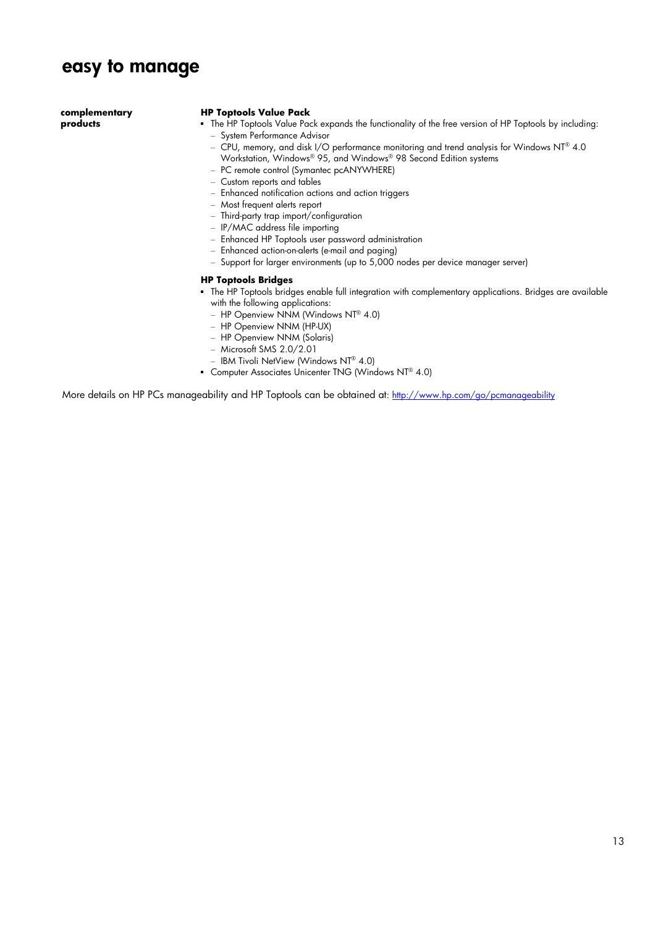### **easy to manage**

**complementary products** 

#### **HP Toptools Value Pack**

- The HP Toptools Value Pack expands the functionality of the free version of HP Toptools by including:
	- System Performance Advisor
	- CPU, memory, and disk I/O performance monitoring and trend analysis for Windows NT® 4.0 Workstation, Windows® 95, and Windows® 98 Second Edition systems
	- PC remote control (Symantec pcANYWHERE)
	- Custom reports and tables
	- Enhanced notification actions and action triggers
	- Most frequent alerts report
	- Third-party trap import/configuration
	- IP/MAC address file importing
	- Enhanced HP Toptools user password administration
	- Enhanced action-on-alerts (e-mail and paging)
	- Support for larger environments (up to 5,000 nodes per device manager server)

#### **HP Toptools Bridges**

- The HP Toptools bridges enable full integration with complementary applications. Bridges are available with the following applications:
	- HP Openview NNM (Windows NT® 4.0)
	- HP Openview NNM (HP-UX)
	- HP Openview NNM (Solaris)
	- Microsoft SMS 2.0/2.01
	- IBM Tivoli NetView (Windows NT® 4.0)
- **Computer Associates Unicenter TNG (Windows NT® 4.0)**

More details on HP PCs manageability and HP Toptools can be obtained at:<http://www.hp.com/go/pcmanageability>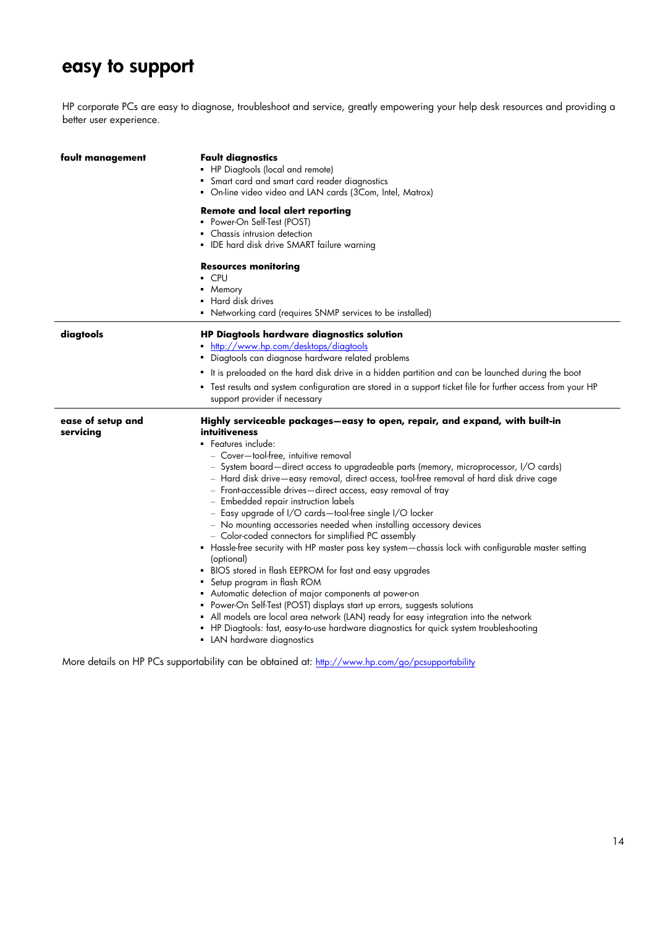### **easy to support**

÷,

HP corporate PCs are easy to diagnose, troubleshoot and service, greatly empowering your help desk resources and providing a better user experience.

| fault management               | <b>Fault diagnostics</b><br>• HP Diagtools (local and remote)<br>• Smart card and smart card reader diagnostics<br>• On-line video video and LAN cards (3Com, Intel, Matrox)<br>Remote and local alert reporting<br>• Power-On Self-Test (POST)<br>Chassis intrusion detection<br><b>IDE</b> hard disk drive SMART failure warning                                                                                                                                                                                                                                                                                                                                                                                                                                                                                                                                                                                                                                                                                                                                                                                                                                                                                    |
|--------------------------------|-----------------------------------------------------------------------------------------------------------------------------------------------------------------------------------------------------------------------------------------------------------------------------------------------------------------------------------------------------------------------------------------------------------------------------------------------------------------------------------------------------------------------------------------------------------------------------------------------------------------------------------------------------------------------------------------------------------------------------------------------------------------------------------------------------------------------------------------------------------------------------------------------------------------------------------------------------------------------------------------------------------------------------------------------------------------------------------------------------------------------------------------------------------------------------------------------------------------------|
|                                | <b>Resources monitoring</b><br>• CPU<br>• Memory<br>• Hard disk drives<br>• Networking card (requires SNMP services to be installed)                                                                                                                                                                                                                                                                                                                                                                                                                                                                                                                                                                                                                                                                                                                                                                                                                                                                                                                                                                                                                                                                                  |
| diagtools                      | HP Diagtools hardware diagnostics solution<br>http://www.hp.com/desktops/diagtools<br>• Diagtools can diagnose hardware related problems<br>It is preloaded on the hard disk drive in a hidden partition and can be launched during the boot<br>" Test results and system configuration are stored in a support ticket file for further access from your HP<br>support provider if necessary                                                                                                                                                                                                                                                                                                                                                                                                                                                                                                                                                                                                                                                                                                                                                                                                                          |
| ease of setup and<br>servicing | Highly serviceable packages—easy to open, repair, and expand, with built-in<br>intuitiveness<br>· Features include:<br>- Cover-tool-free, intuitive removal<br>- System board-direct access to upgradeable parts (memory, microprocessor, I/O cards)<br>- Hard disk drive—easy removal, direct access, tool-free removal of hard disk drive cage<br>- Front-accessible drives—direct access, easy removal of tray<br>- Embedded repair instruction labels<br>- Easy upgrade of I/O cards-tool-free single I/O locker<br>- No mounting accessories needed when installing accessory devices<br>- Color-coded connectors for simplified PC assembly<br>• Hassle-free security with HP master pass key system—chassis lock with configurable master setting<br>(optional)<br>• BIOS stored in flash EEPROM for fast and easy upgrades<br>Setup program in flash ROM<br>Automatic detection of major components at power-on<br>• Power-On Self-Test (POST) displays start up errors, suggests solutions<br>• All models are local area network (LAN) ready for easy integration into the network<br>• HP Diagtools: fast, easy-to-use hardware diagnostics for quick system troubleshooting<br>• LAN hardware diagnostics |

More details on HP PCs supportability can be obtained a[t: http://www.hp.com/go/pcsupportability](http://www.hp.com/go/pcsupportability)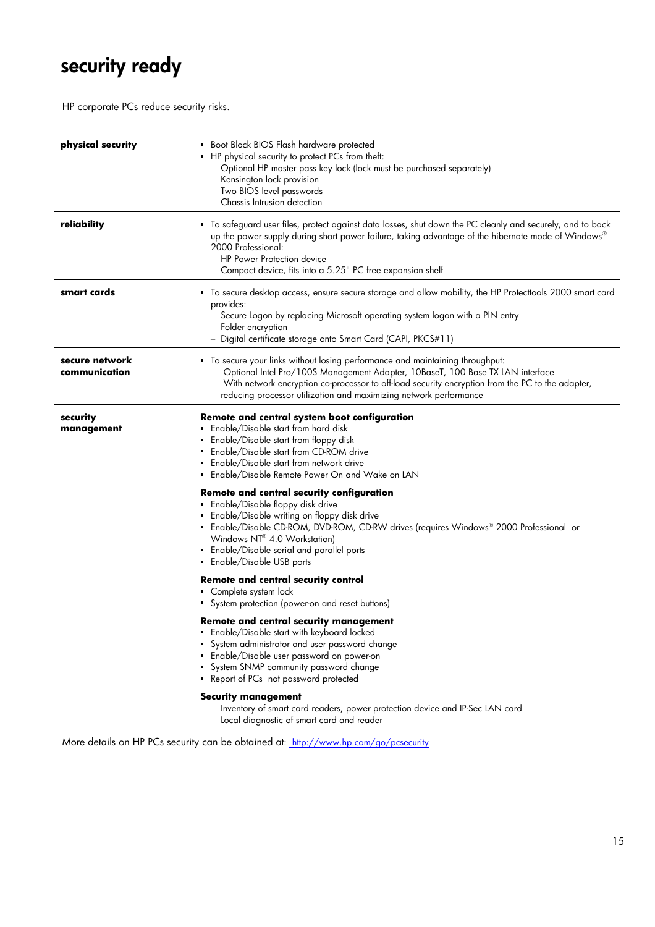# **security ready**

HP corporate PCs reduce security risks.

| physical security               | Boot Block BIOS Flash hardware protected<br>• HP physical security to protect PCs from theft:<br>- Optional HP master pass key lock (lock must be purchased separately)<br>- Kensington lock provision<br>- Two BIOS level passwords<br>- Chassis Intrusion detection                                                                        |
|---------------------------------|----------------------------------------------------------------------------------------------------------------------------------------------------------------------------------------------------------------------------------------------------------------------------------------------------------------------------------------------|
| reliability                     | " To safeguard user files, protect against data losses, shut down the PC cleanly and securely, and to back<br>up the power supply during short power failure, taking advantage of the hibernate mode of Windows®<br>2000 Professional:<br>- HP Power Protection device<br>- Compact device, fits into a 5.25" PC free expansion shelf        |
| smart cards                     | " To secure desktop access, ensure secure storage and allow mobility, the HP Protecttools 2000 smart card<br>provides:<br>- Secure Logon by replacing Microsoft operating system logon with a PIN entry<br>- Folder encryption<br>- Digital certificate storage onto Smart Card (CAPI, PKCS#11)                                              |
| secure network<br>communication | " To secure your links without losing performance and maintaining throughput:<br>- Optional Intel Pro/100S Management Adapter, 10BaseT, 100 Base TX LAN interface<br>- With network encryption co-processor to off-load security encryption from the PC to the adapter,<br>reducing processor utilization and maximizing network performance |
| security<br>management          | Remote and central system boot configuration<br>Enable/Disable start from hard disk<br>Enable/Disable start from floppy disk<br>Enable/Disable start from CD-ROM drive<br>Enable/Disable start from network drive<br>Enable/Disable Remote Power On and Wake on LAN                                                                          |
|                                 | Remote and central security configuration<br>· Enable/Disable floppy disk drive<br>• Enable/Disable writing on floppy disk drive<br>• Enable/Disable CD-ROM, DVD-ROM, CD-RW drives (requires Windows® 2000 Professional or<br>Windows NT® 4.0 Workstation)<br>• Enable/Disable serial and parallel ports<br>• Enable/Disable USB ports       |
|                                 | <b>Remote and central security control</b><br>Complete system lock<br>System protection (power-on and reset buttons)                                                                                                                                                                                                                         |
|                                 | <b>Remote and central security management</b><br>· Enable/Disable start with keyboard locked<br>System administrator and user password change<br>· Enable/Disable user password on power-on<br>System SNMP community password change<br>• Report of PCs not password protected                                                               |
|                                 | <b>Security management</b><br>- Inventory of smart card readers, power protection device and IP-Sec LAN card<br>- Local diagnostic of smart card and reader                                                                                                                                                                                  |

More details on HP PCs security can be obtained at: http://www.hp.com/go/pcsecurity